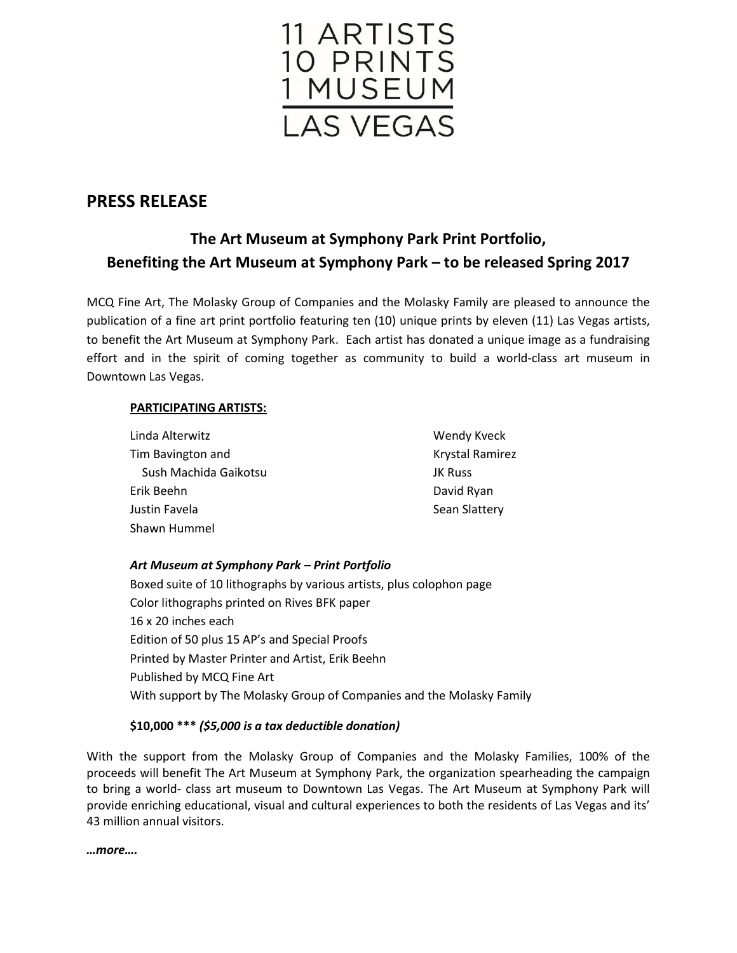

## **PRESS RELEASE**

# **The Art Museum at Symphony Park Print Portfolio, Benefiting the Art Museum at Symphony Park – to be released Spring 2017**

MCQ Fine Art, The Molasky Group of Companies and the Molasky Family are pleased to announce the publication of a fine art print portfolio featuring ten (10) unique prints by eleven (11) Las Vegas artists, to benefit the Art Museum at Symphony Park. Each artist has donated a unique image as a fundraising effort and in the spirit of coming together as community to build a world-class art museum in Downtown Las Vegas.

## **PARTICIPATING ARTISTS:**

| Linda Alterwitz       | <b>Wendy Kveck</b>     |
|-----------------------|------------------------|
| Tim Bavington and     | <b>Krystal Ramirez</b> |
| Sush Machida Gaikotsu | <b>JK Russ</b>         |
| Erik Beehn            | David Ryan             |
| Justin Favela         | <b>Sean Slattery</b>   |
| Shawn Hummel          |                        |

## *Art Museum at Symphony Park – Print Portfolio*

Boxed suite of 10 lithographs by various artists, plus colophon page Color lithographs printed on Rives BFK paper 16 x 20 inches each Edition of 50 plus 15 AP's and Special Proofs Printed by Master Printer and Artist, Erik Beehn Published by MCQ Fine Art With support by The Molasky Group of Companies and the Molasky Family

### **\$10,000 \*\*\*** *(\$5,000 is a tax deductible donation)*

With the support from the Molasky Group of Companies and the Molasky Families, 100% of the proceeds will benefit The Art Museum at Symphony Park, the organization spearheading the campaign to bring a world- class art museum to Downtown Las Vegas. The Art Museum at Symphony Park will provide enriching educational, visual and cultural experiences to both the residents of Las Vegas and its' 43 million annual visitors.

*…more….*